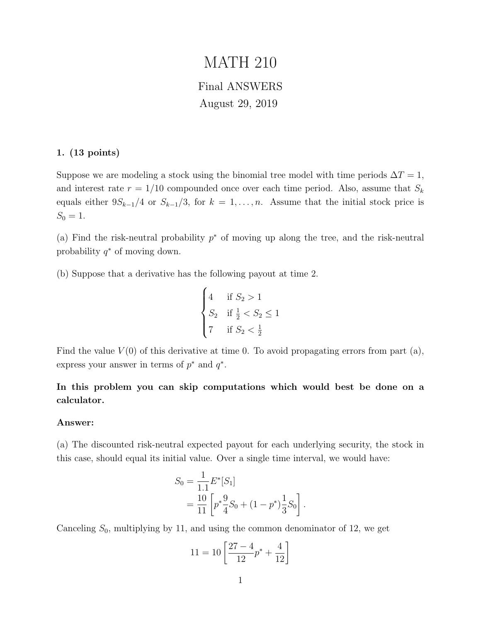# MATH 210

## Final ANSWERS August 29, 2019

#### 1. (13 points)

Suppose we are modeling a stock using the binomial tree model with time periods  $\Delta T = 1$ , and interest rate  $r = 1/10$  compounded once over each time period. Also, assume that  $S_k$ equals either  $9S_{k-1}/4$  or  $S_{k-1}/3$ , for  $k = 1, ..., n$ . Assume that the initial stock price is  $S_0 = 1.$ 

(a) Find the risk-neutral probability  $p^*$  of moving up along the tree, and the risk-neutral probability  $q^*$  of moving down.

(b) Suppose that a derivative has the following payout at time 2.

$$
\begin{cases} 4 & \text{if } S_2 > 1 \\ S_2 & \text{if } \frac{1}{2} < S_2 \le 1 \\ 7 & \text{if } S_2 < \frac{1}{2} \end{cases}
$$

Find the value  $V(0)$  of this derivative at time 0. To avoid propagating errors from part (a), express your answer in terms of  $p^*$  and  $q^*$ .

In this problem you can skip computations which would best be done on a calculator.

#### Answer:

(a) The discounted risk-neutral expected payout for each underlying security, the stock in this case, should equal its initial value. Over a single time interval, we would have:

$$
S_0 = \frac{1}{1.1} E^*[S_1]
$$
  
= 
$$
\frac{10}{11} \left[ p^* \frac{9}{4} S_0 + (1 - p^*) \frac{1}{3} S_0 \right].
$$

Canceling  $S_0$ , multiplying by 11, and using the common denominator of 12, we get

$$
11 = 10 \left[ \frac{27 - 4}{12} p^* + \frac{4}{12} \right]
$$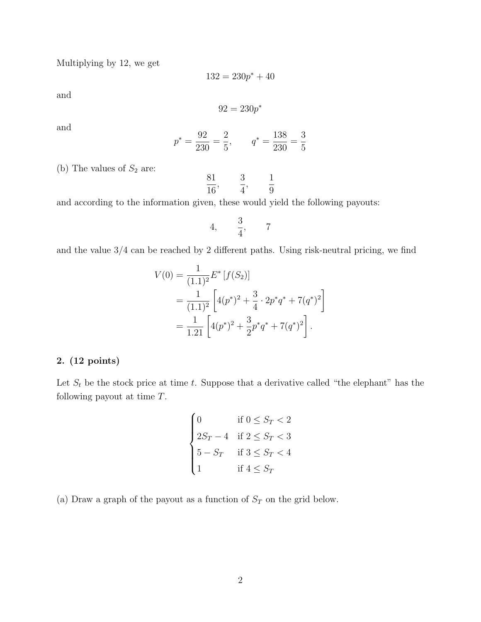Multiplying by 12, we get

$$
132 = 230p^* + 40
$$

and

$$
92 = 230p^*
$$

and

$$
p^* = \frac{92}{230} = \frac{2}{5}
$$
,  $q^* = \frac{138}{230} = \frac{3}{5}$ 

(b) The values of  $S_2$  are:

$$
\frac{81}{16}
$$
,  $\frac{3}{4}$ ,  $\frac{1}{9}$ 

and according to the information given, these would yield the following payouts:

$$
4, \qquad \frac{3}{4}, \qquad 7
$$

and the value 3/4 can be reached by 2 different paths. Using risk-neutral pricing, we find

$$
V(0) = \frac{1}{(1.1)^2} E^* [f(S_2)]
$$
  
= 
$$
\frac{1}{(1.1)^2} \left[ 4(p^*)^2 + \frac{3}{4} \cdot 2p^*q^* + 7(q^*)^2 \right]
$$
  
= 
$$
\frac{1}{1.21} \left[ 4(p^*)^2 + \frac{3}{2}p^*q^* + 7(q^*)^2 \right].
$$

#### 2. (12 points)

Let  $S_t$  be the stock price at time t. Suppose that a derivative called "the elephant" has the following payout at time T.

$$
\begin{cases}\n0 & \text{if } 0 \le S_T < 2 \\
2S_T - 4 & \text{if } 2 \le S_T < 3 \\
5 - S_T & \text{if } 3 \le S_T < 4 \\
1 & \text{if } 4 \le S_T\n\end{cases}
$$

(a) Draw a graph of the payout as a function of  $S_T$  on the grid below.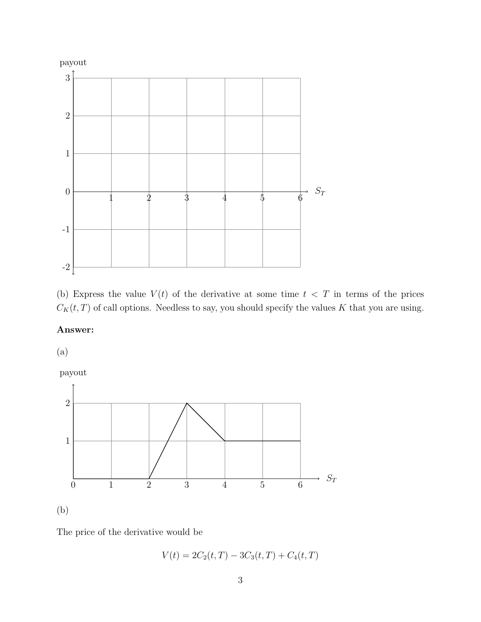

(b) Express the value  $V(t)$  of the derivative at some time  $t < T$  in terms of the prices  $C_K(t,T)$  of call options. Needless to say, you should specify the values K that you are using.

### Answer:

(a)

payout



The price of the derivative would be

$$
V(t) = 2C_2(t, T) - 3C_3(t, T) + C_4(t, T)
$$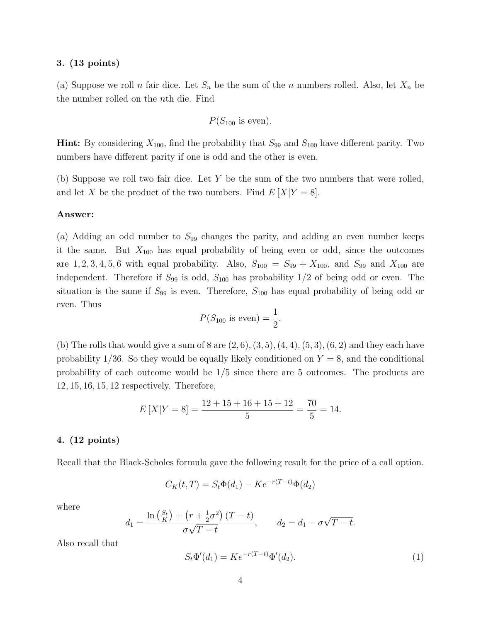#### 3. (13 points)

(a) Suppose we roll n fair dice. Let  $S_n$  be the sum of the n numbers rolled. Also, let  $X_n$  be the number rolled on the nth die. Find

$$
P(S_{100} \text{ is even}).
$$

**Hint:** By considering  $X_{100}$ , find the probability that  $S_{99}$  and  $S_{100}$  have different parity. Two numbers have different parity if one is odd and the other is even.

(b) Suppose we roll two fair dice. Let Y be the sum of the two numbers that were rolled, and let X be the product of the two numbers. Find  $E[X|Y=8]$ .

#### Answer:

(a) Adding an odd number to  $S_{99}$  changes the parity, and adding an even number keeps it the same. But  $X_{100}$  has equal probability of being even or odd, since the outcomes are 1, 2, 3, 4, 5, 6 with equal probability. Also,  $S_{100} = S_{99} + X_{100}$ , and  $S_{99}$  and  $X_{100}$  are independent. Therefore if  $S_{99}$  is odd,  $S_{100}$  has probability  $1/2$  of being odd or even. The situation is the same if  $S_{99}$  is even. Therefore,  $S_{100}$  has equal probability of being odd or even. Thus

$$
P(S_{100} \text{ is even}) = \frac{1}{2}.
$$

(b) The rolls that would give a sum of 8 are  $(2, 6), (3, 5), (4, 4), (5, 3), (6, 2)$  and they each have probability 1/36. So they would be equally likely conditioned on  $Y = 8$ , and the conditional probability of each outcome would be 1/5 since there are 5 outcomes. The products are 12, 15, 16, 15, 12 respectively. Therefore,

$$
E[X|Y=8] = \frac{12+15+16+15+12}{5} = \frac{70}{5} = 14.
$$

#### 4. (12 points)

Recall that the Black-Scholes formula gave the following result for the price of a call option.

$$
C_K(t,T) = S_t \Phi(d_1) - K e^{-r(T-t)} \Phi(d_2)
$$

where

$$
d_1 = \frac{\ln\left(\frac{S_t}{K}\right) + \left(r + \frac{1}{2}\sigma^2\right)(T - t)}{\sigma\sqrt{T - t}}, \qquad d_2 = d_1 - \sigma\sqrt{T - t}.
$$

Also recall that

$$
S_t \Phi'(d_1) = K e^{-r(T-t)} \Phi'(d_2). \tag{1}
$$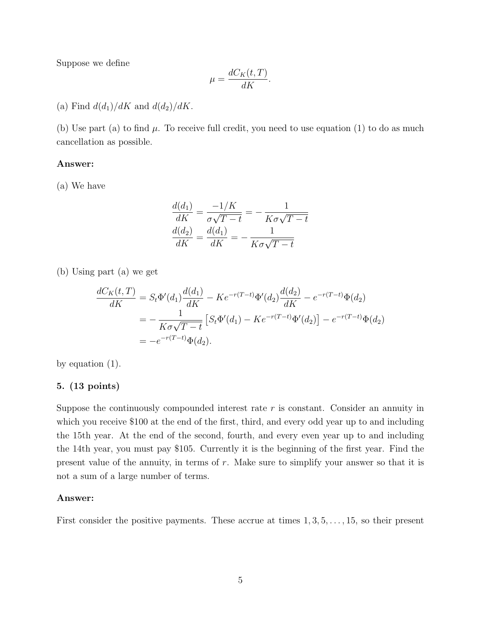Suppose we define

$$
\mu = \frac{dC_K(t, T)}{dK}.
$$

(a) Find  $d(d_1)/dK$  and  $d(d_2)/dK$ .

(b) Use part (a) to find  $\mu$ . To receive full credit, you need to use equation (1) to do as much cancellation as possible.

#### Answer:

(a) We have

$$
\frac{d(d_1)}{dK} = \frac{-1/K}{\sigma\sqrt{T-t}} = -\frac{1}{K\sigma\sqrt{T-t}}
$$

$$
\frac{d(d_2)}{dK} = \frac{d(d_1)}{dK} = -\frac{1}{K\sigma\sqrt{T-t}}
$$

(b) Using part (a) we get

$$
\frac{dC_K(t,T)}{dK} = S_t \Phi'(d_1) \frac{d(d_1)}{dK} - Ke^{-r(T-t)} \Phi'(d_2) \frac{d(d_2)}{dK} - e^{-r(T-t)} \Phi(d_2)
$$
  
= 
$$
-\frac{1}{K\sigma\sqrt{T-t}} \left[ S_t \Phi'(d_1) - Ke^{-r(T-t)} \Phi'(d_2) \right] - e^{-r(T-t)} \Phi(d_2)
$$
  
= 
$$
-e^{-r(T-t)} \Phi(d_2).
$$

by equation (1).

#### 5. (13 points)

Suppose the continuously compounded interest rate  $r$  is constant. Consider an annuity in which you receive \$100 at the end of the first, third, and every odd year up to and including the 15th year. At the end of the second, fourth, and every even year up to and including the 14th year, you must pay \$105. Currently it is the beginning of the first year. Find the present value of the annuity, in terms of r. Make sure to simplify your answer so that it is not a sum of a large number of terms.

#### Answer:

First consider the positive payments. These accrue at times  $1, 3, 5, \ldots, 15$ , so their present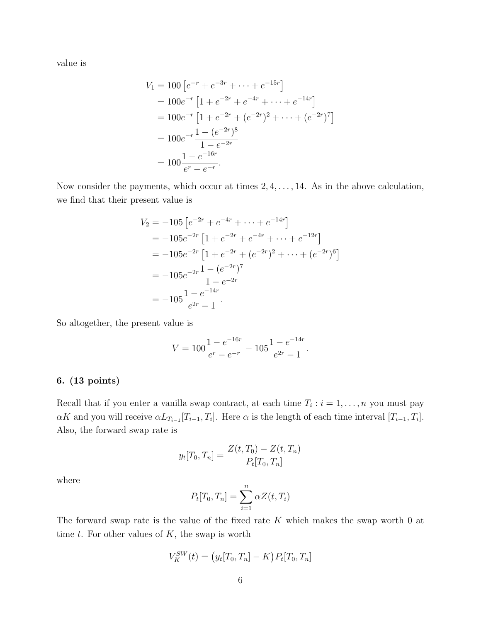value is

$$
V_1 = 100 \left[ e^{-r} + e^{-3r} + \dots + e^{-15r} \right]
$$
  
= 100e^{-r} \left[ 1 + e^{-2r} + e^{-4r} + \dots + e^{-14r} \right]   
= 100e^{-r} \left[ 1 + e^{-2r} + (e^{-2r})^2 + \dots + (e^{-2r})^7 \right]   
= 100e^{-r} \frac{1 - (e^{-2r})^8}{1 - e^{-2r}}   
= 100 \frac{1 - e^{-16r}}{e^r - e^{-r}}.

Now consider the payments, which occur at times  $2, 4, \ldots, 14$ . As in the above calculation, we find that their present value is

$$
V_2 = -105 \left[ e^{-2r} + e^{-4r} + \dots + e^{-14r} \right]
$$
  
= -105e^{-2r} \left[ 1 + e^{-2r} + e^{-4r} + \dots + e^{-12r} \right]   
= -105e^{-2r} \left[ 1 + e^{-2r} + (e^{-2r})^2 + \dots + (e^{-2r})^6 \right]   
= -105e^{-2r} \frac{1 - (e^{-2r})^7}{1 - e^{-2r}}   
= -105 \frac{1 - e^{-14r}}{e^{2r} - 1}.

So altogether, the present value is

$$
V = 100 \frac{1 - e^{-16r}}{e^r - e^{-r}} - 105 \frac{1 - e^{-14r}}{e^{2r} - 1}.
$$

#### 6. (13 points)

Recall that if you enter a vanilla swap contract, at each time  $T_i : i = 1, \ldots, n$  you must pay  $\alpha K$  and you will receive  $\alpha L_{T_{i-1}}[T_{i-1}, T_i]$ . Here  $\alpha$  is the length of each time interval  $[T_{i-1}, T_i]$ . Also, the forward swap rate is

$$
y_t[T_0, T_n] = \frac{Z(t, T_0) - Z(t, T_n)}{P_t[T_0, T_n]}
$$

where

$$
P_t[T_0, T_n] = \sum_{i=1}^n \alpha Z(t, T_i)
$$

The forward swap rate is the value of the fixed rate  $K$  which makes the swap worth  $0$  at time  $t$ . For other values of  $K$ , the swap is worth

$$
V_K^{SW}(t) = (y_t[T_0, T_n] - K) P_t[T_0, T_n]
$$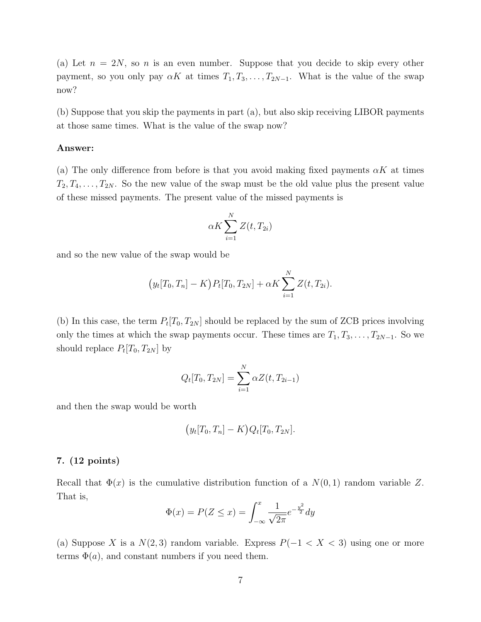(a) Let  $n = 2N$ , so n is an even number. Suppose that you decide to skip every other payment, so you only pay  $\alpha K$  at times  $T_1, T_3, \ldots, T_{2N-1}$ . What is the value of the swap now?

(b) Suppose that you skip the payments in part (a), but also skip receiving LIBOR payments at those same times. What is the value of the swap now?

#### Answer:

(a) The only difference from before is that you avoid making fixed payments  $\alpha K$  at times  $T_2, T_4, \ldots, T_{2N}$ . So the new value of the swap must be the old value plus the present value of these missed payments. The present value of the missed payments is

$$
\alpha K \sum_{i=1}^{N} Z(t, T_{2i})
$$

and so the new value of the swap would be

$$
(y_t[T_0, T_n] - K) P_t[T_0, T_{2N}] + \alpha K \sum_{i=1}^N Z(t, T_{2i}).
$$

(b) In this case, the term  $P_t[T_0, T_{2N}]$  should be replaced by the sum of ZCB prices involving only the times at which the swap payments occur. These times are  $T_1, T_3, \ldots, T_{2N-1}$ . So we should replace  $P_t[T_0, T_{2N}]$  by

$$
Q_t[T_0, T_{2N}] = \sum_{i=1}^{N} \alpha Z(t, T_{2i-1})
$$

and then the swap would be worth

$$
(y_t[T_0, T_n] - K)Q_t[T_0, T_{2N}].
$$

#### 7. (12 points)

Recall that  $\Phi(x)$  is the cumulative distribution function of a  $N(0, 1)$  random variable Z. That is,

$$
\Phi(x) = P(Z \le x) = \int_{-\infty}^{x} \frac{1}{\sqrt{2\pi}} e^{-\frac{y^2}{2}} dy
$$

(a) Suppose X is a  $N(2,3)$  random variable. Express  $P(-1 < X < 3)$  using one or more terms  $\Phi(a)$ , and constant numbers if you need them.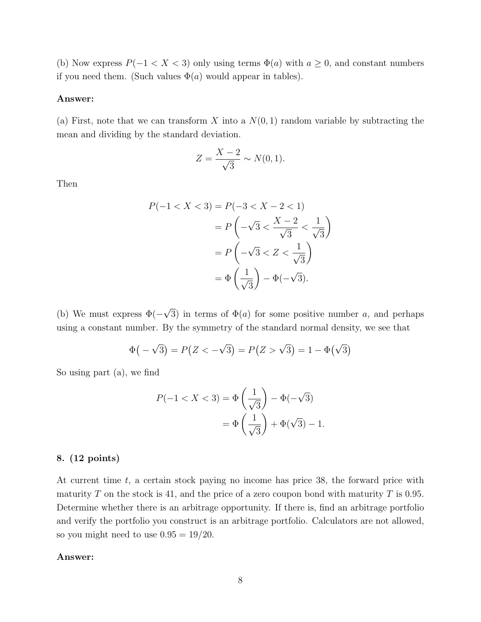(b) Now express  $P(-1 < X < 3)$  only using terms  $\Phi(a)$  with  $a \geq 0$ , and constant numbers if you need them. (Such values  $\Phi(a)$  would appear in tables).

#### Answer:

(a) First, note that we can transform X into a  $N(0, 1)$  random variable by subtracting the mean and dividing by the standard deviation.

$$
Z = \frac{X - 2}{\sqrt{3}} \sim N(0, 1).
$$

Then

$$
P(-1 < X < 3) = P(-3 < X - 2 < 1)
$$
\n
$$
= P\left(-\sqrt{3} < \frac{X - 2}{\sqrt{3}} < \frac{1}{\sqrt{3}}\right)
$$
\n
$$
= P\left(-\sqrt{3} < Z < \frac{1}{\sqrt{3}}\right)
$$
\n
$$
= \Phi\left(\frac{1}{\sqrt{3}}\right) - \Phi(-\sqrt{3}).
$$

(b) We must express  $\Phi(-)$ √ 3) in terms of  $\Phi(a)$  for some positive number a, and perhaps using a constant number. By the symmetry of the standard normal density, we see that

$$
\Phi(-\sqrt{3}) = P(Z < -\sqrt{3}) = P(Z > \sqrt{3}) = 1 - \Phi(\sqrt{3})
$$

So using part (a), we find

$$
P(-1 < X < 3) = \Phi\left(\frac{1}{\sqrt{3}}\right) - \Phi(-\sqrt{3})
$$
\n
$$
= \Phi\left(\frac{1}{\sqrt{3}}\right) + \Phi(\sqrt{3}) - 1.
$$

#### 8. (12 points)

At current time  $t$ , a certain stock paying no income has price 38, the forward price with maturity T on the stock is 41, and the price of a zero coupon bond with maturity T is 0.95. Determine whether there is an arbitrage opportunity. If there is, find an arbitrage portfolio and verify the portfolio you construct is an arbitrage portfolio. Calculators are not allowed, so you might need to use  $0.95 = 19/20$ .

#### Answer: